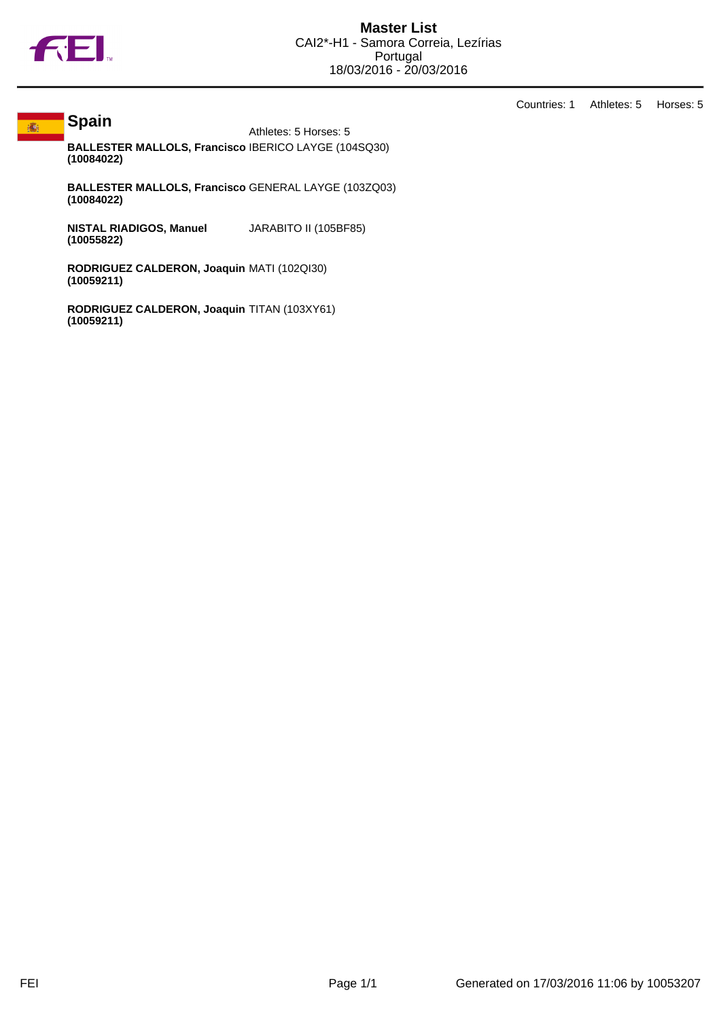

**Spain**

## 痛

Countries: 1 Athletes: 5 Horses: 5

Athletes: 5 Horses: 5 **BALLESTER MALLOLS, Francisco (10084022)** IBERICO LAYGE (104SQ30)

**BALLESTER MALLOLS, Francisco** GENERAL LAYGE (103ZQ03) **(10084022)**

**NISTAL RIADIGOS, Manuel (10055822)** JARABITO II (105BF85)

**RODRIGUEZ CALDERON, Joaquin** MATI (102QI30) **(10059211)**

**RODRIGUEZ CALDERON, Joaquin** TITAN (103XY61)**(10059211)**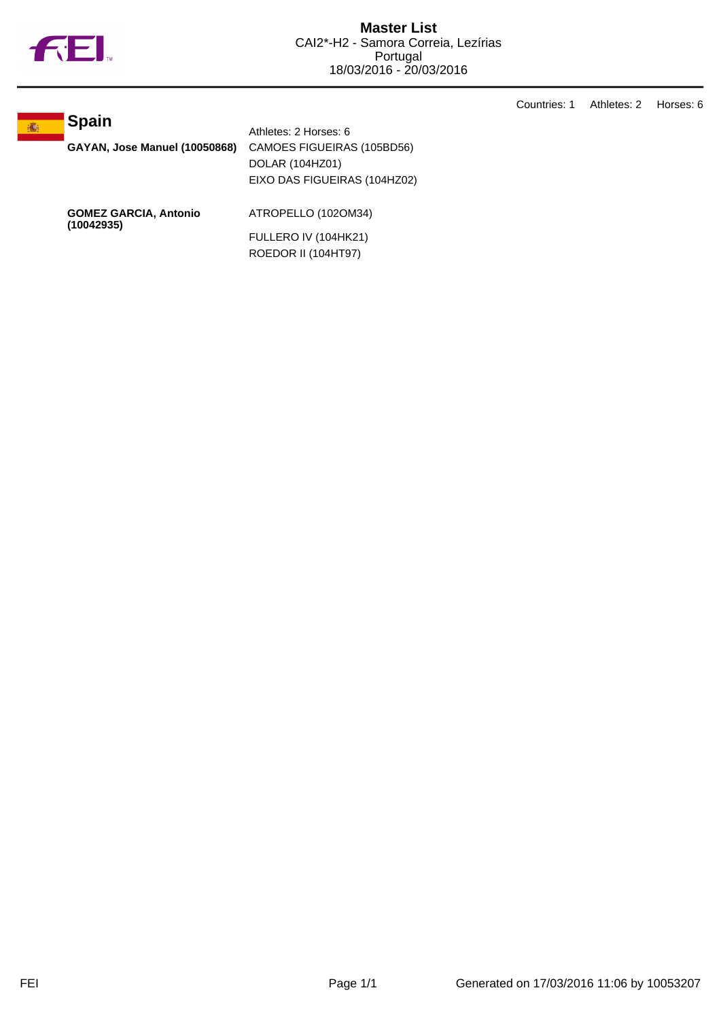

Countries: 1 Athletes: 2 Horses: 6



**GAYAN, Jose Manuel (10050868)** CAMOES FIGUEIRAS (105BD56) DOLAR (104HZ01) EIXO DAS FIGUEIRAS (104HZ02)

**GOMEZ GARCIA, Antonio (10042935)**

ATROPELLO (102OM34)

Athletes: 2 Horses: 6

FULLERO IV (104HK21) ROEDOR II (104HT97)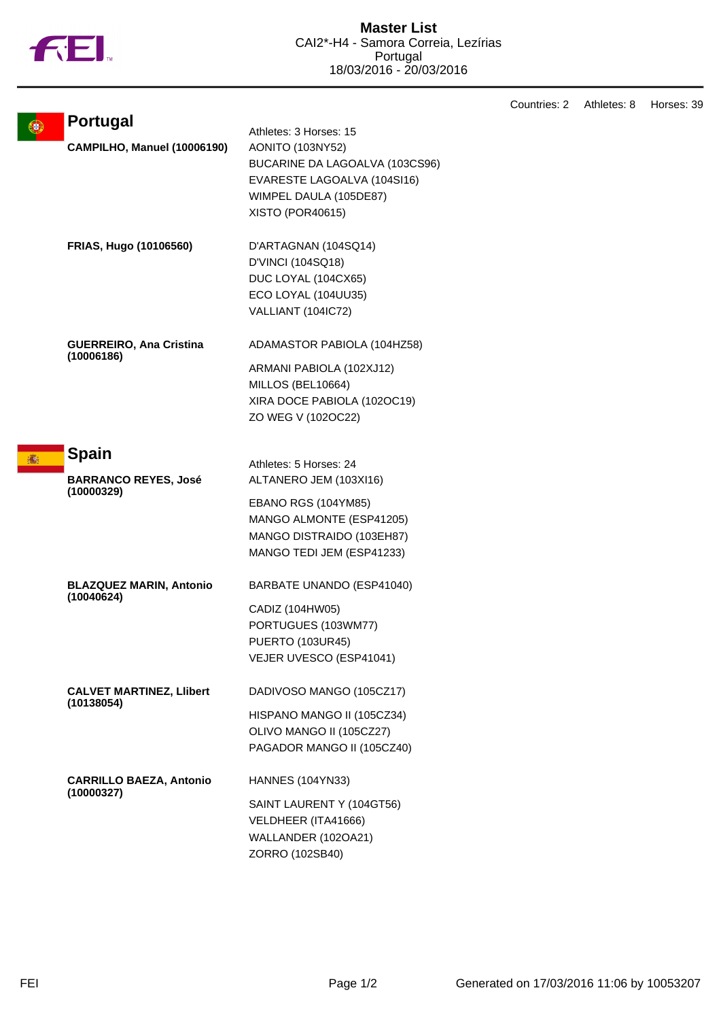

|   |                                           |                                | Countries: 2 | Athletes: 8 | Horses: 39 |
|---|-------------------------------------------|--------------------------------|--------------|-------------|------------|
| 0 | <b>Portugal</b>                           | Athletes: 3 Horses: 15         |              |             |            |
|   | CAMPILHO, Manuel (10006190)               | <b>AONITO (103NY52)</b>        |              |             |            |
|   |                                           | BUCARINE DA LAGOALVA (103CS96) |              |             |            |
|   |                                           | EVARESTE LAGOALVA (104SI16)    |              |             |            |
|   |                                           | WIMPEL DAULA (105DE87)         |              |             |            |
|   |                                           | XISTO (POR40615)               |              |             |            |
|   |                                           |                                |              |             |            |
|   | FRIAS, Hugo (10106560)                    | D'ARTAGNAN (104SQ14)           |              |             |            |
|   |                                           | D'VINCI (104SQ18)              |              |             |            |
|   |                                           | DUC LOYAL (104CX65)            |              |             |            |
|   |                                           | ECO LOYAL (104UU35)            |              |             |            |
|   |                                           | VALLIANT (104IC72)             |              |             |            |
|   | <b>GUERREIRO, Ana Cristina</b>            | ADAMASTOR PABIOLA (104HZ58)    |              |             |            |
|   | (10006186)                                | ARMANI PABIOLA (102XJ12)       |              |             |            |
|   |                                           | MILLOS (BEL10664)              |              |             |            |
|   |                                           | XIRA DOCE PABIOLA (102OC19)    |              |             |            |
|   |                                           | ZO WEG V (102OC22)             |              |             |            |
|   |                                           |                                |              |             |            |
|   | <b>Spain</b>                              |                                |              |             |            |
|   |                                           | Athletes: 5 Horses: 24         |              |             |            |
|   | <b>BARRANCO REYES, José</b><br>(10000329) | ALTANERO JEM (103XI16)         |              |             |            |
|   |                                           | EBANO RGS (104YM85)            |              |             |            |
|   |                                           | MANGO ALMONTE (ESP41205)       |              |             |            |
|   |                                           | MANGO DISTRAIDO (103EH87)      |              |             |            |
|   |                                           | MANGO TEDI JEM (ESP41233)      |              |             |            |
|   | <b>BLAZQUEZ MARIN, Antonio</b>            | BARBATE UNANDO (ESP41040)      |              |             |            |
|   | (10040624)                                | CADIZ (104HW05)                |              |             |            |
|   |                                           | PORTUGUES (103WM77)            |              |             |            |
|   |                                           | <b>PUERTO (103UR45)</b>        |              |             |            |
|   |                                           | VEJER UVESCO (ESP41041)        |              |             |            |
|   |                                           |                                |              |             |            |
|   | <b>CALVET MARTINEZ, Llibert</b>           | DADIVOSO MANGO (105CZ17)       |              |             |            |
|   | (10138054)                                | HISPANO MANGO II (105CZ34)     |              |             |            |
|   |                                           | OLIVO MANGO II (105CZ27)       |              |             |            |
|   |                                           | PAGADOR MANGO II (105CZ40)     |              |             |            |
|   | <b>CARRILLO BAEZA, Antonio</b>            | <b>HANNES (104YN33)</b>        |              |             |            |
|   | (10000327)                                | SAINT LAURENT Y (104GT56)      |              |             |            |
|   |                                           | VELDHEER (ITA41666)            |              |             |            |
|   |                                           | WALLANDER (102OA21)            |              |             |            |
|   |                                           |                                |              |             |            |